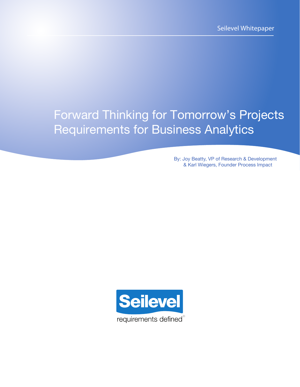# Forward Thinking for Tomorrow's Projects Requirements for Business Analytics

By: Joy Beatty, VP of Research & Development & Karl Wiegers, Founder Process Impact



requirements defined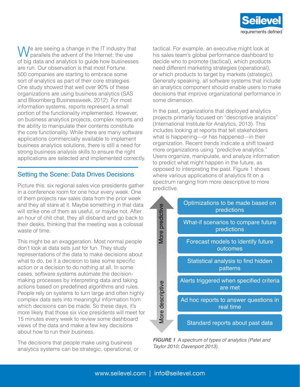

 $\sqrt{e}$  are seeing a change in the IT industry that parallels the advent of the Internet: the use of big data and analytics to guide how businesses are run. Our observation is that most Fortune 500 companies are starting to embrace some sort of analytics as part of their core strategies. One study showed that well over 90% of these organizations are using business analytics (SAS and Bloomberg Businessweek, 2012). For most information systems, reports represent a small portion of the functionality implemented. However, on business analytics projects, complex reports and the ability to manipulate their contents constitute the core functionality. While there are many software applications commercially available to implement business analytics solutions, there is still a need for strong business analysis skills to ensure the right applications are selected and implemented correctly.

## Setting the Scene: Data Drives Decisions

Picture this: six regional sales vice presidents gather in a conference room for one hour every week. One of them projects raw sales data from the prior week and they all stare at it. Maybe something in that data will strike one of them as useful, or maybe not. After an hour of chit chat, they all disband and go back to their desks, thinking that the meeting was a colossal waste of time.

This might be an exaggeration. Most normal people don't look at data sets just for fun. They study representations of the data to make decisions about what to do, be it a decision to take some specific action or a decision to do nothing at all. In some cases, software systems automate the decisionmaking processes by interpreting data and taking actions based on predefined algorithms and rules. People rely on systems to turn large and often highly complex data sets into meaningful information from which decisions can be made. So these days, it's more likely that those six vice presidents will meet for 15 minutes every week to review some dashboard views of the data and make a few key decisions about how to run their business.

The decisions that people make using business analytics systems can be strategic, operational, or tactical. For example, an executive might look at his sales team's global performance dashboard to decide who to promote (tactical), which products need different marketing strategies (operational), or which products to target by markets (strategic). Generally speaking, all software systems that include an analytics component should enable users to make decisions that improve organizational performance in some dimension.

In the past, organizations that deployed analytics projects primarily focused on "descriptive analytics" (International Institute for Analytics, 2013). This includes looking at reports that tell stakeholders what is happening—or has happened—in their organization. Recent trends indicate a shift toward more organizations using "predictive analytics." Users organize, manipulate, and analyze information to predict what might happen in the future, as opposed to interpreting the past. Figure 1 shows where various applications of analytics fit on a spectrum ranging from more descriptive to more predictive.



*FIGURE 1 A spectrum of types of analytics (Patel and Taylor 2010; Davenport 2013).*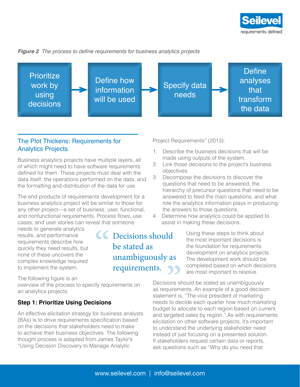





# The Plot Thickens: Requirements for Analytics Projects

Business analytics projects have multiple layers, all of which might need to have software requirements defined for them. These projects must deal with the data itself, the operations performed on the data, and the formatting and distribution of the data for use.

The end products of requirements development for a business analytics project will be similar to those for any other project—a set of business, user, functional, and nonfunctional requirements. Process flows, use cases, and user stories can reveal that someone

needs to generate analytics results, and performance requirements describe how quickly they need results, but none of these uncovers the complex knowledge required to implement the system.

CC Decisions should<br>be stated as<br>unambiguously as<br>requirements " be stated as unambiguously as requirements.

The following figure is an

overview of the process to specify requirements on an analytics projects.

## **Step 1: Prioritize Using Decisions**

An effective elicitation strategy for business analysts (BAs) is to drive requirements specification based on the decisions that stakeholders need to make to achieve their business objectives. The following thought process is adapted from James Taylor's "Using Decision Discovery to Manage Analytic

Project Requirements" (2013):

- 1. Describe the business decisions that will be made using outputs of the system.
- 2. Link those decisions to the project's business objectives.
- 3. Decompose the decisions to discover the questions that need to be answered, the hierarchy of precursor questions that need to be answered to feed the main questions, and what role the analytics information plays in producing the answers to those questions.
- 4. Determine how analytics could be applied to assist in making these decisions.

Using these steps to think about the most important decisions is the foundation for requirements development on analytics projects. The development work should be completed based on which decisions are most important to resolve.

Decisions should be stated as unambiguously as requirements. An example of a good decision statement is, "The vice president of marketing needs to decide each quarter how much marketing budget to allocate to each region based on current and targeted sales by region." As with requirements elicitation on other software projects, it's important to understand the underlying stakeholder need instead of just focusing on a presented solution. If stakeholders request certain data or reports, ask questions such as "Why do you need that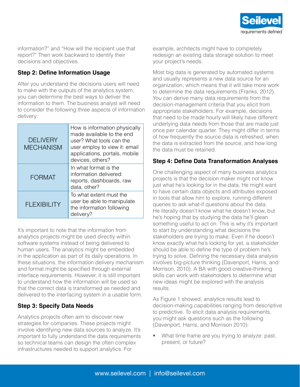

information?" and "How will the recipient use that report?" Then work backward to identify their decisions and objectives.

## **Step 2: Define Information Usage**

After you understand the decisions users will need to make with the outputs of the analytics system, you can determine the best ways to deliver the information to them. The business analyst will need to consider the following three aspects of information delivery:

| <b>DELIVERY</b><br><b>MECHANISM</b> | How is information physically<br>made available to the end<br>user? What tools can the<br>user employ to view it: email<br>applications, portals, mobile<br>devices, others? |
|-------------------------------------|------------------------------------------------------------------------------------------------------------------------------------------------------------------------------|
| <b>FORMAT</b>                       | In what format is the<br>information delivered:<br>reports, dashboards, raw<br>data, other?                                                                                  |
| <b>FLEXIBILITY</b>                  | To what extent must the<br>user be able to manipulate<br>the information following<br>delivery?                                                                              |

It's important to note that the information from analytics projects might be used directly within software systems instead of being delivered to human users. The analytics might be embedded in the application as part of its daily operations. In these situations, the information delivery mechanism and format might be specified through external interface requirements. However, it is still important to understand how the information will be used so that the correct data is transformed as needed and delivered to the interfacing system in a usable form.

## **Step 3: Specify Data Needs**

Analytics projects often aim to discover new strategies for companies. These projects might involve identifying new data sources to analyze. It's important to fully understand the data requirements so technical teams can design the often complex infrastructures needed to support analytics. For

example, architects might have to completely redesign an existing data storage solution to meet your project's needs.

Most big data is generated by automated systems and usually represents a new data source for an organization, which means that it will take more work to determine the data requirements (Franks, 2012). You can derive many data requirements from the decision-management criteria that you elicit from appropriate stakeholders. For example, decisions that need to be made hourly will likely have different underlying data needs from those that are made just once per calendar quarter. They might differ in terms of how frequently the source data is refreshed, when the data is extracted from the source, and how long the data must be retained.

## **Step 4: Define Data Transformation Analyses**

One challenging aspect of many business analytics projects is that the decision maker might not know just what he's looking for in the data. He might want to have certain data objects and attributes exposed in tools that allow him to explore, running different queries to ask what-if questions about the data. He literally doesn't know what he doesn't know, but he's hoping that by studying the data he'll glean something useful to act on. This is why it's important to start by understanding what decisions the stakeholders are trying to make. Even if he doesn't know exactly what he's looking for yet, a stakeholder should be able to define the type of problem he's trying to solve. Defining the necessary data analysis involves big-picture thinking (Davenport, Harris, and Morrison, 2010). A BA with good creative-thinking skills can work with stakeholders to determine what new ideas might be explored with the analysis results.

As Figure 1 showed, analytics results lead to decision-making capabilities ranging from descriptive to predictive. To elicit data analysis requirements, you might ask questions such as the following (Davenport, Harris, and Morrison 2010):

• What time frame are you trying to analyze: past, present, or future?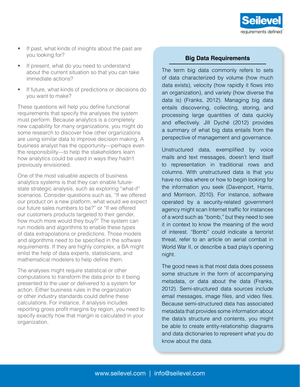

- If past, what kinds of insights about the past are you looking for?
- If present, what do you need to understand about the current situation so that you can take immediate actions?
- If future, what kinds of predictions or decisions do you want to make?

These questions will help you define functional requirements that specify the analyses the system must perform. Because analytics is a completely new capability for many organizations, you might do some research to discover how other organizations are using similar data to improve decision making. A business analyst has the opportunity—perhaps even the responsibility—to help the stakeholders learn how analytics could be used in ways they hadn't previously envisioned.

One of the most valuable aspects of business analytics systems is that they can enable futurestate strategic analysis, such as exploring "what-if" scenarios. Consider questions such as, "If we offered our product on a new platform, what would we expect our future sales numbers to be?" or "If we offered our customers products targeted to their gender, how much more would they buy?" The system can run models and algorithms to enable these types of data extrapolations or predictions. Those models and algorithms need to be specified in the software requirements. If they are highly complex, a BA might enlist the help of data experts, statisticians, and mathematical modelers to help define them.

The analyses might require statistical or other computations to transform the data prior to it being presented to the user or delivered to a system for action. Either business rules in the organization or other industry standards could define these calculations. For instance, if analysis includes reporting gross profit margins by region, you need to specify exactly how that margin is calculated in your organization.

#### **Big Data Requirements**

The term big data commonly refers to sets of data characterized by volume (how much data exists), velocity (how rapidly it flows into an organization), and variety (how diverse the data is) (Franks, 2012). Managing big data entails discovering, collecting, storing, and processing large quantities of data quickly and effectively. Jill Dyché (2012) provides a summary of what big data entails from the perspective of management and governance.

Unstructured data, exemplified by voice mails and text messages, doesn't lend itself to representation in traditional rows and columns. With unstructured data is that you have no idea where or how to begin looking for the information you seek (Davenport, Harris, and Morrison, 2010). For instance, software operated by a security-related government agency might scan Internet traffic for instances of a word such as "bomb," but they need to see it in context to know the meaning of the word of interest. "Bomb" could indicate a terrorist threat, refer to an article on aerial combat in World War II, or describe a bad play's opening night.

The good news is that most data does possess some structure in the form of accompanying metadata, or data about the data (Franks, 2012). Semi-structured data sources include email messages, image files, and video files. Because semi-structured data has associated metadata that provides some information about the data's structure and contents, you might be able to create entity-relationship diagrams and data dictionaries to represent what you do know about the data.